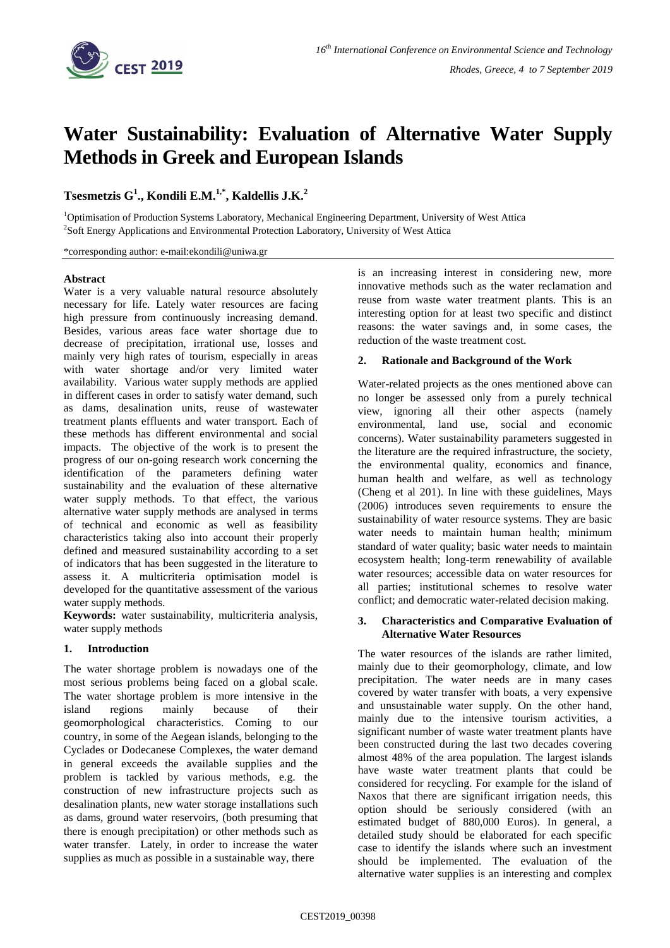

# **Water Sustainability: Evaluation of Alternative Water Supply Methods in Greek and European Islands**

# **Tsesmetzis G<sup>1</sup> ., Kondili E.M.1,\* , Kaldellis J.K.<sup>2</sup>**

<sup>1</sup>Optimisation of Production Systems Laboratory, Mechanical Engineering Department, University of West Attica <sup>2</sup>Soft Energy Applications and Environmental Protection Laboratory, University of West Attica

\*corresponding author: e-mail:ekondili@uniwa.gr

#### **Abstract**

Water is a very valuable natural resource absolutely necessary for life. Lately water resources are facing high pressure from continuously increasing demand. Besides, various areas face water shortage due to decrease of precipitation, irrational use, losses and mainly very high rates of tourism, especially in areas with water shortage and/or very limited water availability. Various water supply methods are applied in different cases in order to satisfy water demand, such as dams, desalination units, reuse of wastewater treatment plants effluents and water transport. Each of these methods has different environmental and social impacts. The objective of the work is to present the progress of our on-going research work concerning the identification of the parameters defining water sustainability and the evaluation of these alternative water supply methods. To that effect, the various alternative water supply methods are analysed in terms of technical and economic as well as feasibility characteristics taking also into account their properly defined and measured sustainability according to a set of indicators that has been suggested in the literature to assess it. A multicriteria optimisation model is developed for the quantitative assessment of the various water supply methods.

**Keywords:** water sustainability, multicriteria analysis, water supply methods

# **1. Introduction**

The water shortage problem is nowadays one of the most serious problems being faced on a global scale. The water shortage problem is more intensive in the island regions mainly because of their geomorphological characteristics. Coming to our country, in some of the Aegean islands, belonging to the Cyclades or Dodecanese Complexes, the water demand in general exceeds the available supplies and the problem is tackled by various methods, e.g. the construction of new infrastructure projects such as desalination plants, new water storage installations such as dams, ground water reservoirs, (both presuming that there is enough precipitation) or other methods such as water transfer. Lately, in order to increase the water supplies as much as possible in a sustainable way, there

is an increasing interest in considering new, more innovative methods such as the water reclamation and reuse from waste water treatment plants. This is an interesting option for at least two specific and distinct reasons: the water savings and, in some cases, the reduction of the waste treatment cost.

# **2. Rationale and Background of the Work**

Water-related projects as the ones mentioned above can no longer be assessed only from a purely technical view, ignoring all their other aspects (namely environmental, land use, social and economic concerns). Water sustainability parameters suggested in the literature are the required infrastructure, the society, the environmental quality, economics and finance, human health and welfare, as well as technology (Cheng et al 201). In line with these guidelines, Mays (2006) introduces seven requirements to ensure the sustainability of water resource systems. They are basic water needs to maintain human health; minimum standard of water quality; basic water needs to maintain ecosystem health; long-term renewability of available water resources; accessible data on water resources for all parties; institutional schemes to resolve water conflict; and democratic water-related decision making.

#### **3. Characteristics and Comparative Evaluation of Alternative Water Resources**

The water resources of the islands are rather limited, mainly due to their geomorphology, climate, and low precipitation. The water needs are in many cases covered by water transfer with boats, a very expensive and unsustainable water supply. On the other hand, mainly due to the intensive tourism activities, a significant number of waste water treatment plants have been constructed during the last two decades covering almost 48% of the area population. The largest islands have waste water treatment plants that could be considered for recycling. For example for the island of Naxos that there are significant irrigation needs, this option should be seriously considered (with an estimated budget of 880,000 Euros). In general, a detailed study should be elaborated for each specific case to identify the islands where such an investment should be implemented. The evaluation of the alternative water supplies is an interesting and complex